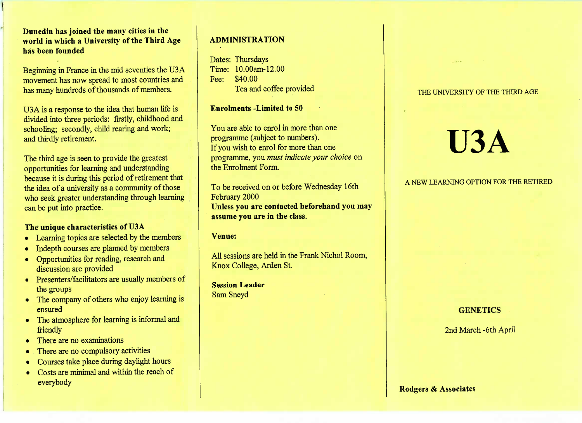**Dunedin has joined the many cities in the world in which a University of the Third Agehas been founded**

Beginning in France in the mid seventies the U3A movement has now spread to most countries andhas many hundreds of thousands of members.

USA is a response to the idea that human life is divided into three periods: firstly, childhood andschooling; secondly, child rearing and work;and thirdly retirement.

The third age is seen to provide the greatest opportunities for learning and understanding because it is during this period of retirement thatthe idea of a university as a community of those who seek greater understanding through learningcan be put into practice.

### **The unique characteristics of U3A**

- Learning topics are selected by the members
- Indepth courses are planned by members
- Opportunities for reading, research anddiscussion are provided
- Presenters/facilitators are usually members ofthe groups
- The company of others who enjoy learning isensured
- The atmosphere for learning is informal andfriendly
- There are no examinations
- There are no compulsory activities
- Courses take place during daylight hours
- Costs are minimal and within the reach of everybody

## **ADMINISTRATION**

Dates: Thursdays Time: 10.00am-12.00Fee: \$40.00Lea and coffee provided

**Enrolments -Limited to 50**

You are able to enrol in more than oneprogramme (subject to numbers). If you wish to enrol for more than one programme, you *must indicate your choice* onthe Enrolment Form.

To be received on or before Wednesday 16thFebruary 2000 **Unless you are contacted beforehand you mayassume you are in the class.**

#### **Venue:**

All sessions are held in the Frank Nichol Room,Knox College, Arden St.

**Session Leader**Sam Sneyd

#### THE UNIVERSITY OF THE THIRD AGE

# **U3A**

## A NEW LEARNING OPTION FOR THE RETIRED

# **GENETICS**

2nd March -6th April

#### **Rodgers & Associates**